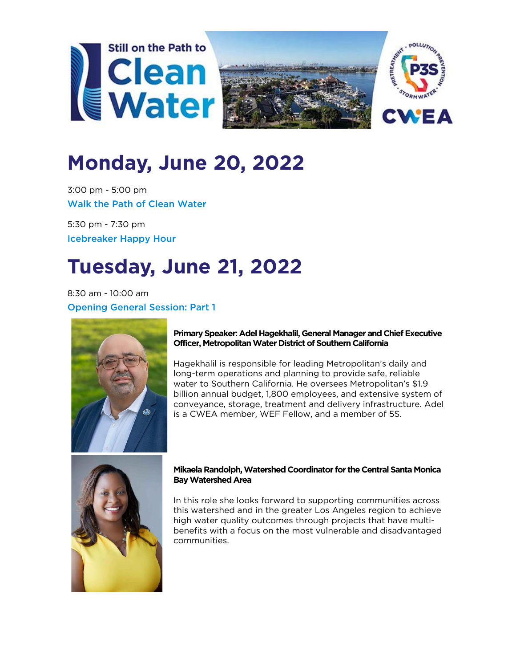





# **Monday, June 20, 2022**

3:00 pm - 5:00 pm Walk the Path of Clean Water

5:30 pm - 7:30 pm Icebreaker Happy Hour

# **Tuesday, June 21, 2022**

8:30 am - 10:00 am Opening General Session: Part 1



# **Primary Speaker: Adel Hagekhalil, General Manager and Chief Executive Officer, Metropolitan Water District of Southern California**

Hagekhalil is responsible for leading Metropolitan's daily and long-term operations and planning to provide safe, reliable water to Southern California. He oversees Metropolitan's \$1.9 billion annual budget, 1,800 employees, and extensive system of conveyance, storage, treatment and delivery infrastructure. Adel is a CWEA member, WEF Fellow, and a member of 5S.



# **Mikaela Randolph, Watershed Coordinator for the Central Santa Monica Bay Watershed Area**

In this role she looks forward to supporting communities across this watershed and in the greater Los Angeles region to achieve high water quality outcomes through projects that have multibenefits with a focus on the most vulnerable and disadvantaged communities.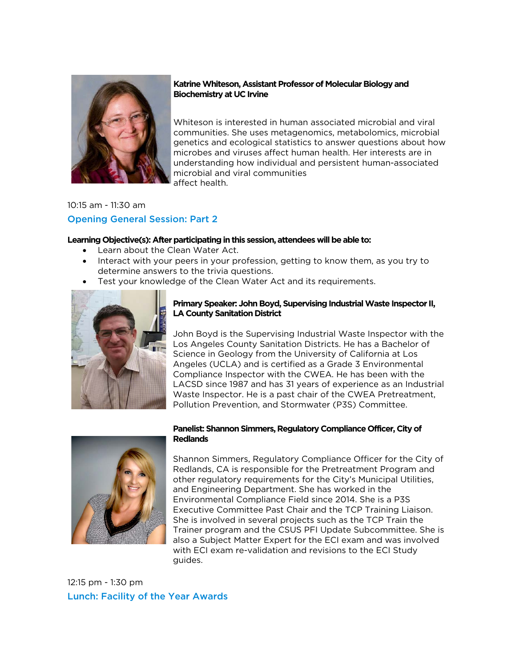

## **Katrine Whiteson, Assistant Professor of Molecular Biology and Biochemistry at UC Irvine**

Whiteson is interested in human associated microbial and viral communities. She uses metagenomics, metabolomics, microbial genetics and ecological statistics to answer questions about how microbes and viruses affect human health. Her interests are in understanding how individual and persistent human-associated microbial and viral communities affect health.

# 10:15 am - 11:30 am Opening General Session: Part 2

## **Learning Objective(s): After participating in this session, attendees will be able to:**

- Learn about the Clean Water Act.
- Interact with your peers in your profession, getting to know them, as you try to determine answers to the trivia questions.
- Test your knowledge of the Clean Water Act and its requirements.



## **Primary Speaker: John Boyd, Supervising Industrial Waste Inspector II, LA County Sanitation District**

John Boyd is the Supervising Industrial Waste Inspector with the Los Angeles County Sanitation Districts. He has a Bachelor of Science in Geology from the University of California at Los Angeles (UCLA) and is certified as a Grade 3 Environmental Compliance Inspector with the CWEA. He has been with the LACSD since 1987 and has 31 years of experience as an Industrial Waste Inspector. He is a past chair of the CWEA Pretreatment, Pollution Prevention, and Stormwater (P3S) Committee.



## **Panelist: Shannon Simmers, Regulatory Compliance Officer, City of Redlands**

Shannon Simmers, Regulatory Compliance Officer for the City of Redlands, CA is responsible for the Pretreatment Program and other regulatory requirements for the City's Municipal Utilities, and Engineering Department. She has worked in the Environmental Compliance Field since 2014. She is a P3S Executive Committee Past Chair and the TCP Training Liaison. She is involved in several projects such as the TCP Train the Trainer program and the CSUS PFI Update Subcommittee. She is also a Subject Matter Expert for the ECI exam and was involved with ECI exam re-validation and revisions to the ECI Study guides.

12:15 pm - 1:30 pm Lunch: Facility of the Year Awards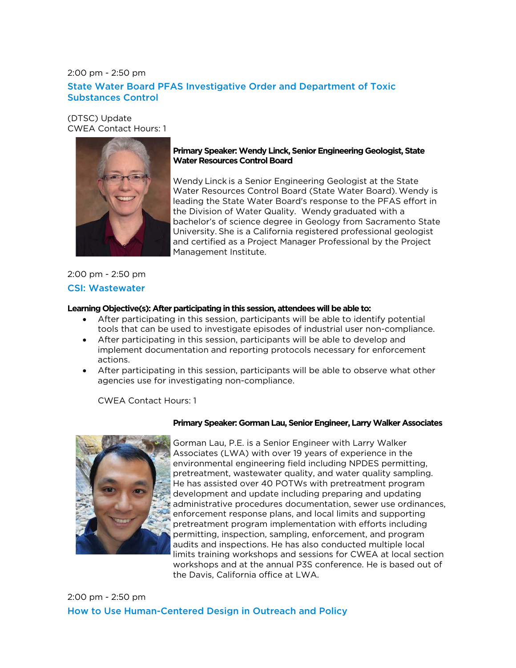# 2:00 pm - 2:50 pm State Water Board PFAS Investigative Order and Department of Toxic Substances Control

(DTSC) Update CWEA Contact Hours: 1



## **Primary Speaker: Wendy Linck, Senior Engineering Geologist, State Water Resources Control Board**

Wendy Linck is a Senior Engineering Geologist at the State Water Resources Control Board (State Water Board). Wendy is leading the State Water Board's response to the PFAS effort in the Division of Water Quality.   Wendy graduated with a bachelor's of science degree in Geology from Sacramento State University. She is a California registered professional geologist and certified as a Project Manager Professional by the Project Management Institute.  

# 2:00 pm - 2:50 pm CSI: Wastewater

#### **Learning Objective(s): After participating in this session, attendees will be able to:**

- After participating in this session, participants will be able to identify potential tools that can be used to investigate episodes of industrial user non-compliance.
- After participating in this session, participants will be able to develop and implement documentation and reporting protocols necessary for enforcement actions.
- After participating in this session, participants will be able to observe what other agencies use for investigating non-compliance.

CWEA Contact Hours: 1



#### **Primary Speaker: Gorman Lau, Senior Engineer, Larry Walker Associates**

Gorman Lau, P.E. is a Senior Engineer with Larry Walker Associates (LWA) with over 19 years of experience in the environmental engineering field including NPDES permitting, pretreatment, wastewater quality, and water quality sampling. He has assisted over 40 POTWs with pretreatment program development and update including preparing and updating administrative procedures documentation, sewer use ordinances, enforcement response plans, and local limits and supporting pretreatment program implementation with efforts including permitting, inspection, sampling, enforcement, and program audits and inspections. He has also conducted multiple local limits training workshops and sessions for CWEA at local section workshops and at the annual P3S conference. He is based out of the Davis, California office at LWA.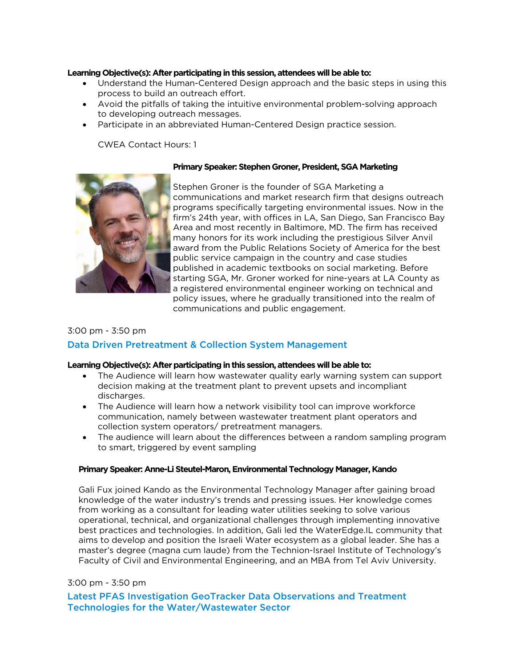#### **Learning Objective(s): After participating in this session, attendees will be able to:**

- Understand the Human-Centered Design approach and the basic steps in using this process to build an outreach effort.
- Avoid the pitfalls of taking the intuitive environmental problem-solving approach to developing outreach messages.
- Participate in an abbreviated Human-Centered Design practice session.

CWEA Contact Hours: 1

## **Primary Speaker: Stephen Groner, President, SGA Marketing**



Stephen Groner is the founder of SGA Marketing a communications and market research firm that designs outreach programs specifically targeting environmental issues. Now in the firm's 24th year, with offices in LA, San Diego, San Francisco Bay Area and most recently in Baltimore, MD. The firm has received many honors for its work including the prestigious Silver Anvil award from the Public Relations Society of America for the best public service campaign in the country and case studies published in academic textbooks on social marketing. Before starting SGA, Mr. Groner worked for nine-years at LA County as a registered environmental engineer working on technical and policy issues, where he gradually transitioned into the realm of communications and public engagement.

# 3:00 pm - 3:50 pm

# Data Driven Pretreatment & Collection System Management

#### **Learning Objective(s): After participating in this session, attendees will be able to:**

- The Audience will learn how wastewater quality early warning system can support decision making at the treatment plant to prevent upsets and incompliant discharges.
- The Audience will learn how a network visibility tool can improve workforce communication, namely between wastewater treatment plant operators and collection system operators/ pretreatment managers.
- The audience will learn about the differences between a random sampling program to smart, triggered by event sampling

#### **Primary Speaker: Anne-Li Steutel-Maron, Environmental Technology Manager, Kando**

Gali Fux joined Kando as the Environmental Technology Manager after gaining broad knowledge of the water industry's trends and pressing issues. Her knowledge comes from working as a consultant for leading water utilities seeking to solve various operational, technical, and organizational challenges through implementing innovative best practices and technologies. In addition, Gali led the WaterEdge.IL community that aims to develop and position the Israeli Water ecosystem as a global leader. She has a master's degree (magna cum laude) from the Technion-Israel Institute of Technology's Faculty of Civil and Environmental Engineering, and an MBA from Tel Aviv University.

# 3:00 pm - 3:50 pm

Latest PFAS Investigation GeoTracker Data Observations and Treatment Technologies for the Water/Wastewater Sector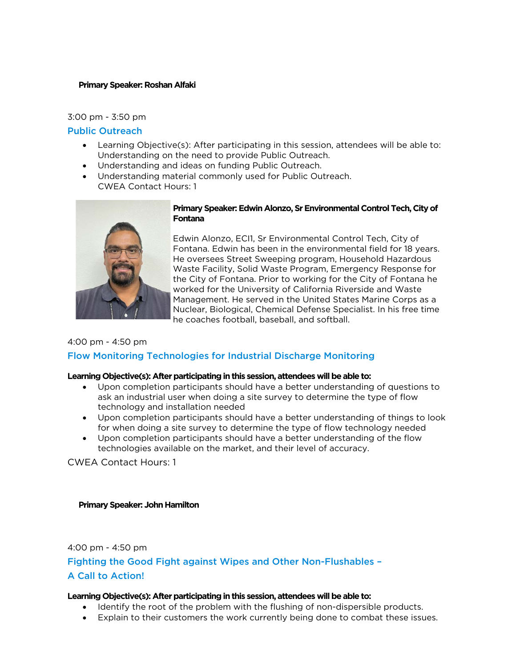#### **Primary Speaker: Roshan Alfaki**

#### 3:00 pm - 3:50 pm

## Public Outreach

- Learning Objective(s): After participating in this session, attendees will be able to: Understanding on the need to provide Public Outreach.
- Understanding and ideas on funding Public Outreach.
- Understanding material commonly used for Public Outreach. CWEA Contact Hours: 1



#### **Primary Speaker: Edwin Alonzo, Sr Environmental Control Tech, City of Fontana**

Edwin Alonzo, ECI1, Sr Environmental Control Tech, City of Fontana. Edwin has been in the environmental field for 18 years. He oversees Street Sweeping program, Household Hazardous Waste Facility, Solid Waste Program, Emergency Response for the City of Fontana. Prior to working for the City of Fontana he worked for the University of California Riverside and Waste Management. He served in the United States Marine Corps as a Nuclear, Biological, Chemical Defense Specialist. In his free time he coaches football, baseball, and softball.

#### 4:00 pm - 4:50 pm

# Flow Monitoring Technologies for Industrial Discharge Monitoring

#### **Learning Objective(s): After participating in this session, attendees will be able to:**

- Upon completion participants should have a better understanding of questions to ask an industrial user when doing a site survey to determine the type of flow technology and installation needed
- Upon completion participants should have a better understanding of things to look for when doing a site survey to determine the type of flow technology needed
- Upon completion participants should have a better understanding of the flow technologies available on the market, and their level of accuracy.

CWEA Contact Hours: 1

#### **Primary Speaker: John Hamilton**

4:00 pm - 4:50 pm

Fighting the Good Fight against Wipes and Other Non-Flushables – A Call to Action!

- Identify the root of the problem with the flushing of non-dispersible products.
- Explain to their customers the work currently being done to combat these issues.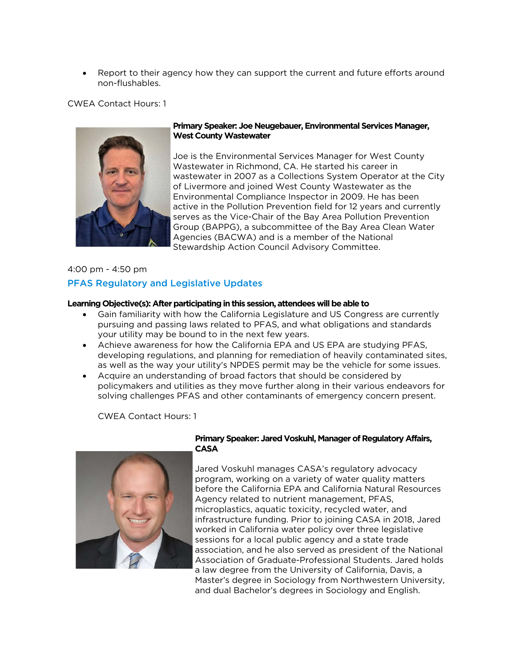• Report to their agency how they can support the current and future efforts around non-flushables.

CWEA Contact Hours: 1



## **Primary Speaker: Joe Neugebauer, Environmental Services Manager, West County Wastewater**

Joe is the Environmental Services Manager for West County Wastewater in Richmond, CA. He started his career in wastewater in 2007 as a Collections System Operator at the City of Livermore and joined West County Wastewater as the Environmental Compliance Inspector in 2009. He has been active in the Pollution Prevention field for 12 years and currently serves as the Vice-Chair of the Bay Area Pollution Prevention Group (BAPPG), a subcommittee of the Bay Area Clean Water Agencies (BACWA) and is a member of the National Stewardship Action Council Advisory Committee.

# 4:00 pm - 4:50 pm

# PFAS Regulatory and Legislative Updates

#### **Learning Objective(s): After participating in this session, attendees will be able to**

- Gain familiarity with how the California Legislature and US Congress are currently pursuing and passing laws related to PFAS, and what obligations and standards your utility may be bound to in the next few years.
- Achieve awareness for how the California EPA and US EPA are studying PFAS, developing regulations, and planning for remediation of heavily contaminated sites, as well as the way your utility's NPDES permit may be the vehicle for some issues.
- Acquire an understanding of broad factors that should be considered by policymakers and utilities as they move further along in their various endeavors for solving challenges PFAS and other contaminants of emergency concern present.

CWEA Contact Hours: 1



## **Primary Speaker: Jared Voskuhl, Manager of Regulatory Affairs, CASA**

Jared Voskuhl manages CASA's regulatory advocacy program, working on a variety of water quality matters before the California EPA and California Natural Resources Agency related to nutrient management, PFAS, microplastics, aquatic toxicity, recycled water, and infrastructure funding. Prior to joining CASA in 2018, Jared worked in California water policy over three legislative sessions for a local public agency and a state trade association, and he also served as president of the National Association of Graduate-Professional Students. Jared holds a law degree from the University of California, Davis, a Master's degree in Sociology from Northwestern University, and dual Bachelor's degrees in Sociology and English.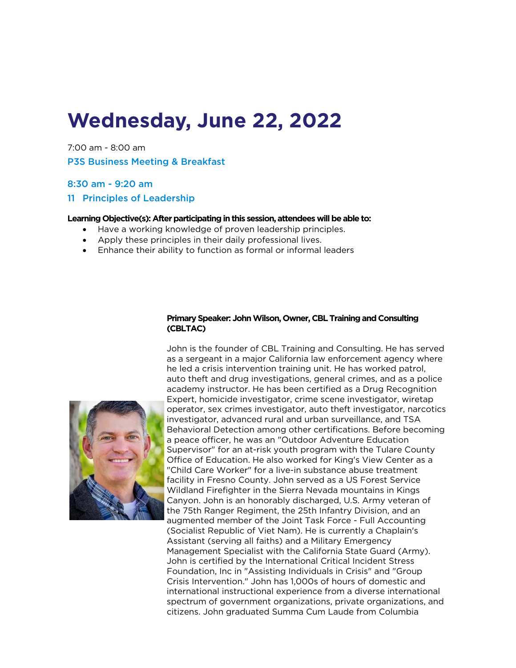# **Wednesday, June 22, 2022**

7:00 am - 8:00 am P3S Business Meeting & Breakfast

## 8:30 am - 9:20 am

## 11 Principles of Leadership

#### **Learning Objective(s): After participating in this session, attendees will be able to:**

- Have a working knowledge of proven leadership principles.
- Apply these principles in their daily professional lives.
- Enhance their ability to function as formal or informal leaders

#### **Primary Speaker: John Wilson, Owner, CBL Training and Consulting (CBLTAC)**

John is the founder of CBL Training and Consulting. He has served as a sergeant in a major California law enforcement agency where he led a crisis intervention training unit. He has worked patrol, auto theft and drug investigations, general crimes, and as a police academy instructor. He has been certified as a Drug Recognition Expert, homicide investigator, crime scene investigator, wiretap operator, sex crimes investigator, auto theft investigator, narcotics investigator, advanced rural and urban surveillance, and TSA Behavioral Detection among other certifications. Before becoming a peace officer, he was an "Outdoor Adventure Education Supervisor" for an at-risk youth program with the Tulare County Office of Education. He also worked for King's View Center as a "Child Care Worker" for a live-in substance abuse treatment facility in Fresno County. John served as a US Forest Service Wildland Firefighter in the Sierra Nevada mountains in Kings Canyon. John is an honorably discharged, U.S. Army veteran of the 75th Ranger Regiment, the 25th Infantry Division, and an augmented member of the Joint Task Force - Full Accounting (Socialist Republic of Viet Nam). He is currently a Chaplain's Assistant (serving all faiths) and a Military Emergency Management Specialist with the California State Guard (Army). John is certified by the International Critical Incident Stress Foundation, Inc in "Assisting Individuals in Crisis" and "Group Crisis Intervention." John has 1,000s of hours of domestic and international instructional experience from a diverse international spectrum of government organizations, private organizations, and citizens. John graduated Summa Cum Laude from Columbia

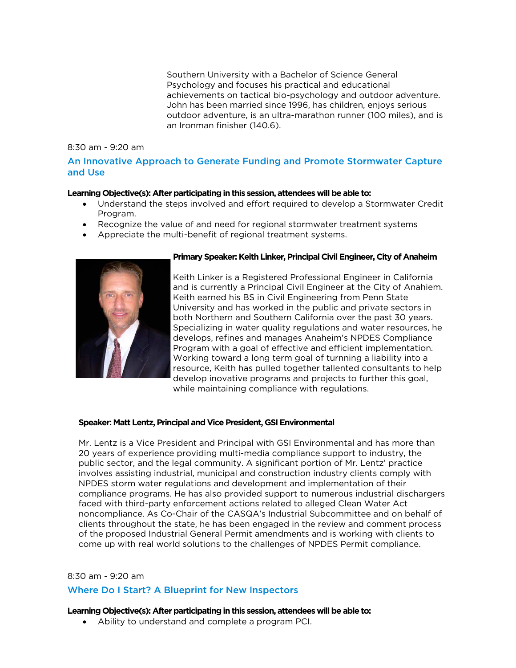Southern University with a Bachelor of Science General Psychology and focuses his practical and educational achievements on tactical bio-psychology and outdoor adventure. John has been married since 1996, has children, enjoys serious outdoor adventure, is an ultra-marathon runner (100 miles), and is an Ironman finisher (140.6).

#### 8:30 am - 9:20 am

# An Innovative Approach to Generate Funding and Promote Stormwater Capture and Use

## **Learning Objective(s): After participating in this session, attendees will be able to:**

- Understand the steps involved and effort required to develop a Stormwater Credit Program.
- Recognize the value of and need for regional stormwater treatment systems
- Appreciate the multi-benefit of regional treatment systems.



#### **Primary Speaker: Keith Linker, Principal Civil Engineer, City of Anaheim**

Keith Linker is a Registered Professional Engineer in California and is currently a Principal Civil Engineer at the City of Anahiem. Keith earned his BS in Civil Engineering from Penn State University and has worked in the public and private sectors in both Northern and Southern California over the past 30 years. Specializing in water quality regulations and water resources, he develops, refines and manages Anaheim's NPDES Compliance Program with a goal of effective and efficient implementation. Working toward a long term goal of turnning a liability into a resource, Keith has pulled together tallented consultants to help develop inovative programs and projects to further this goal, while maintaining compliance with regulations.

#### **Speaker: Matt Lentz, Principal and Vice President, GSI Environmental**

Mr. Lentz is a Vice President and Principal with GSI Environmental and has more than 20 years of experience providing multi-media compliance support to industry, the public sector, and the legal community. A significant portion of Mr. Lentz' practice involves assisting industrial, municipal and construction industry clients comply with NPDES storm water regulations and development and implementation of their compliance programs. He has also provided support to numerous industrial dischargers faced with third-party enforcement actions related to alleged Clean Water Act noncompliance. As Co-Chair of the CASQA's Industrial Subcommittee and on behalf of clients throughout the state, he has been engaged in the review and comment process of the proposed Industrial General Permit amendments and is working with clients to come up with real world solutions to the challenges of NPDES Permit compliance.

#### 8:30 am - 9:20 am

# Where Do I Start? A Blueprint for New Inspectors

#### **Learning Objective(s): After participating in this session, attendees will be able to:**

• Ability to understand and complete a program PCI.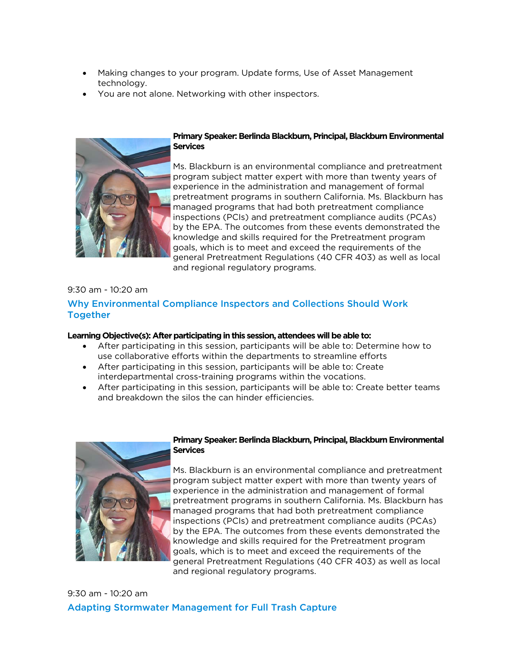- Making changes to your program. Update forms, Use of Asset Management technology.
- You are not alone. Networking with other inspectors.



## **Primary Speaker: Berlinda Blackburn, Principal, Blackburn Environmental Services**

Ms. Blackburn is an environmental compliance and pretreatment program subject matter expert with more than twenty years of experience in the administration and management of formal pretreatment programs in southern California. Ms. Blackburn has managed programs that had both pretreatment compliance inspections (PCIs) and pretreatment compliance audits (PCAs) by the EPA. The outcomes from these events demonstrated the knowledge and skills required for the Pretreatment program goals, which is to meet and exceed the requirements of the general Pretreatment Regulations (40 CFR 403) as well as local and regional regulatory programs.

# 9:30 am - 10:20 am

# Why Environmental Compliance Inspectors and Collections Should Work Together

## **Learning Objective(s): After participating in this session, attendees will be able to:**

- After participating in this session, participants will be able to: Determine how to use collaborative efforts within the departments to streamline efforts
- After participating in this session, participants will be able to: Create interdepartmental cross-training programs within the vocations.
- After participating in this session, participants will be able to: Create better teams and breakdown the silos the can hinder efficiencies.



## **Primary Speaker: Berlinda Blackburn, Principal, Blackburn Environmental Services**

Ms. Blackburn is an environmental compliance and pretreatment program subject matter expert with more than twenty years of experience in the administration and management of formal pretreatment programs in southern California. Ms. Blackburn has managed programs that had both pretreatment compliance inspections (PCIs) and pretreatment compliance audits (PCAs) by the EPA. The outcomes from these events demonstrated the knowledge and skills required for the Pretreatment program goals, which is to meet and exceed the requirements of the general Pretreatment Regulations (40 CFR 403) as well as local and regional regulatory programs.

9:30 am - 10:20 am Adapting Stormwater Management for Full Trash Capture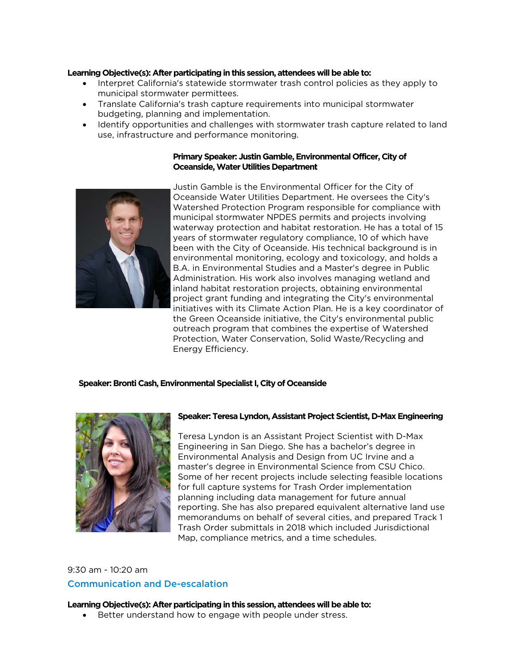#### **Learning Objective(s): After participating in this session, attendees will be able to:**

- Interpret California's statewide stormwater trash control policies as they apply to municipal stormwater permittees.
- Translate California's trash capture requirements into municipal stormwater budgeting, planning and implementation.
- Identify opportunities and challenges with stormwater trash capture related to land use, infrastructure and performance monitoring.

#### **Primary Speaker: Justin Gamble, Environmental Officer, City of Oceanside, Water Utilities Department**



Justin Gamble is the Environmental Officer for the City of Oceanside Water Utilities Department. He oversees the City's Watershed Protection Program responsible for compliance with municipal stormwater NPDES permits and projects involving waterway protection and habitat restoration. He has a total of 15 years of stormwater regulatory compliance, 10 of which have been with the City of Oceanside. His technical background is in environmental monitoring, ecology and toxicology, and holds a B.A. in Environmental Studies and a Master's degree in Public Administration. His work also involves managing wetland and inland habitat restoration projects, obtaining environmental project grant funding and integrating the City's environmental initiatives with its Climate Action Plan. He is a key coordinator of the Green Oceanside initiative, the City's environmental public outreach program that combines the expertise of Watershed Protection, Water Conservation, Solid Waste/Recycling and Energy Efficiency.

#### **Speaker: Bronti Cash, Environmental Specialist I, City of Oceanside**



#### **Speaker: Teresa Lyndon, Assistant Project Scientist, D-Max Engineering**

Teresa Lyndon is an Assistant Project Scientist with D-Max Engineering in San Diego. She has a bachelor's degree in Environmental Analysis and Design from UC Irvine and a master's degree in Environmental Science from CSU Chico. Some of her recent projects include selecting feasible locations for full capture systems for Trash Order implementation planning including data management for future annual reporting. She has also prepared equivalent alternative land use memorandums on behalf of several cities, and prepared Track 1 Trash Order submittals in 2018 which included Jurisdictional Map, compliance metrics, and a time schedules.

# 9:30 am - 10:20 am Communication and De-escalation

#### **Learning Objective(s): After participating in this session, attendees will be able to:**

• Better understand how to engage with people under stress.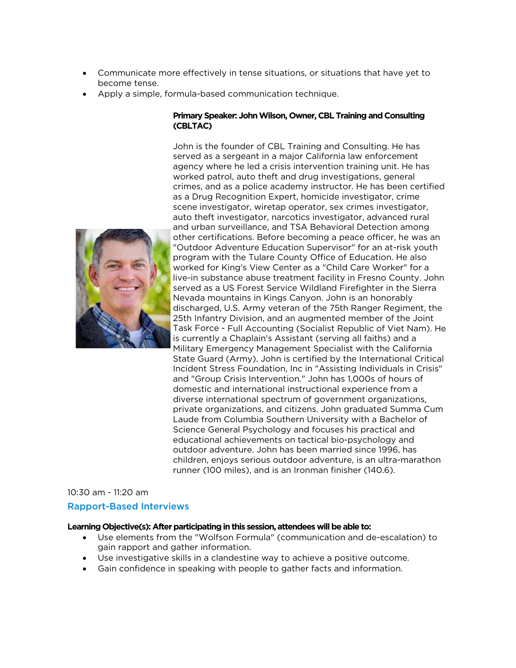- Communicate more effectively in tense situations, or situations that have yet to become tense.
- Apply a simple, formula-based communication technique.

## **Primary Speaker: John Wilson, Owner, CBL Training and Consulting (CBLTAC)**

John is the founder of CBL Training and Consulting. He has served as a sergeant in a major California law enforcement agency where he led a crisis intervention training unit. He has worked patrol, auto theft and drug investigations, general crimes, and as a police academy instructor. He has been certified as a Drug Recognition Expert, homicide investigator, crime scene investigator, wiretap operator, sex crimes investigator, auto theft investigator, narcotics investigator, advanced rural and urban surveillance, and TSA Behavioral Detection among other certifications. Before becoming a peace officer, he was an "Outdoor Adventure Education Supervisor" for an at-risk youth program with the Tulare County Office of Education. He also worked for King's View Center as a "Child Care Worker" for a live-in substance abuse treatment facility in Fresno County. John served as a US Forest Service Wildland Firefighter in the Sierra Nevada mountains in Kings Canyon. John is an honorably discharged, U.S. Army veteran of the 75th Ranger Regiment, the 25th Infantry Division, and an augmented member of the Joint Task Force - Full Accounting (Socialist Republic of Viet Nam). He is currently a Chaplain's Assistant (serving all faiths) and a Military Emergency Management Specialist with the California State Guard (Army). John is certified by the International Critical Incident Stress Foundation, Inc in "Assisting Individuals in Crisis" and "Group Crisis Intervention." John has 1,000s of hours of domestic and international instructional experience from a diverse international spectrum of government organizations, private organizations, and citizens. John graduated Summa Cum Laude from Columbia Southern University with a Bachelor of Science General Psychology and focuses his practical and educational achievements on tactical bio-psychology and outdoor adventure. John has been married since 1996, has children, enjoys serious outdoor adventure, is an ultra-marathon runner (100 miles), and is an Ironman finisher (140.6).

# 10:30 am - 11:20 am Rapport-Based Interviews

- Use elements from the "Wolfson Formula" (communication and de-escalation) to gain rapport and gather information.
- Use investigative skills in a clandestine way to achieve a positive outcome.
- Gain confidence in speaking with people to gather facts and information.

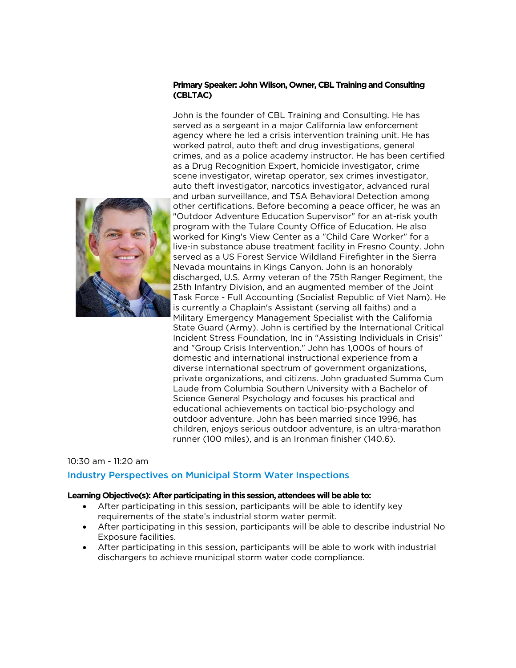## **Primary Speaker: John Wilson, Owner, CBL Training and Consulting (CBLTAC)**



John is the founder of CBL Training and Consulting. He has served as a sergeant in a major California law enforcement agency where he led a crisis intervention training unit. He has worked patrol, auto theft and drug investigations, general crimes, and as a police academy instructor. He has been certified as a Drug Recognition Expert, homicide investigator, crime scene investigator, wiretap operator, sex crimes investigator, auto theft investigator, narcotics investigator, advanced rural and urban surveillance, and TSA Behavioral Detection among other certifications. Before becoming a peace officer, he was an "Outdoor Adventure Education Supervisor" for an at-risk youth program with the Tulare County Office of Education. He also worked for King's View Center as a "Child Care Worker" for a live-in substance abuse treatment facility in Fresno County. John served as a US Forest Service Wildland Firefighter in the Sierra Nevada mountains in Kings Canyon. John is an honorably discharged, U.S. Army veteran of the 75th Ranger Regiment, the 25th Infantry Division, and an augmented member of the Joint Task Force - Full Accounting (Socialist Republic of Viet Nam). He is currently a Chaplain's Assistant (serving all faiths) and a Military Emergency Management Specialist with the California State Guard (Army). John is certified by the International Critical Incident Stress Foundation, Inc in "Assisting Individuals in Crisis" and "Group Crisis Intervention." John has 1,000s of hours of domestic and international instructional experience from a diverse international spectrum of government organizations, private organizations, and citizens. John graduated Summa Cum Laude from Columbia Southern University with a Bachelor of Science General Psychology and focuses his practical and educational achievements on tactical bio-psychology and outdoor adventure. John has been married since 1996, has children, enjoys serious outdoor adventure, is an ultra-marathon runner (100 miles), and is an Ironman finisher (140.6).

#### 10:30 am - 11:20 am

# Industry Perspectives on Municipal Storm Water Inspections

- After participating in this session, participants will be able to identify key requirements of the state's industrial storm water permit.
- After participating in this session, participants will be able to describe industrial No Exposure facilities.
- After participating in this session, participants will be able to work with industrial dischargers to achieve municipal storm water code compliance.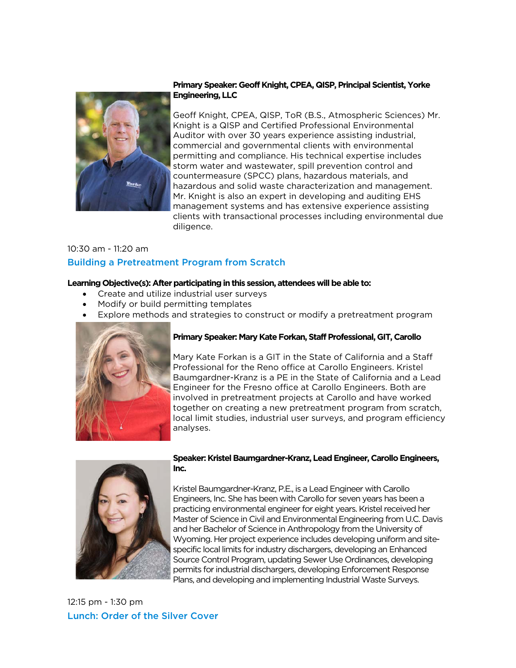

# **Primary Speaker: Geoff Knight, CPEA, QISP, Principal Scientist, Yorke Engineering, LLC**

Geoff Knight, CPEA, QISP, ToR (B.S., Atmospheric Sciences) Mr. Knight is a QISP and Certified Professional Environmental Auditor with over 30 years experience assisting industrial, commercial and governmental clients with environmental permitting and compliance. His technical expertise includes storm water and wastewater, spill prevention control and countermeasure (SPCC) plans, hazardous materials, and hazardous and solid waste characterization and management. Mr. Knight is also an expert in developing and auditing EHS management systems and has extensive experience assisting clients with transactional processes including environmental due diligence.

# 10:30 am - 11:20 am Building a Pretreatment Program from Scratch

## **Learning Objective(s): After participating in this session, attendees will be able to:**

- Create and utilize industrial user surveys
- Modify or build permitting templates
- Explore methods and strategies to construct or modify a pretreatment program



# **Primary Speaker: Mary Kate Forkan, Staff Professional, GIT, Carollo**

Mary Kate Forkan is a GIT in the State of California and a Staff Professional for the Reno office at Carollo Engineers. Kristel Baumgardner-Kranz is a PE in the State of California and a Lead Engineer for the Fresno office at Carollo Engineers. Both are involved in pretreatment projects at Carollo and have worked together on creating a new pretreatment program from scratch, local limit studies, industrial user surveys, and program efficiency analyses.



## **Speaker: Kristel Baumgardner-Kranz, Lead Engineer, Carollo Engineers, Inc.**

Kristel Baumgardner-Kranz, P.E., is a Lead Engineer with Carollo Engineers, Inc. She has been with Carollo for seven years has been a practicing environmental engineer for eight years. Kristel received her Master of Science in Civil and Environmental Engineering from U.C. Davis and her Bachelor of Science in Anthropology from the University of Wyoming. Her project experience includes developing uniform and sitespecific local limits for industry dischargers, developing an Enhanced Source Control Program, updating Sewer Use Ordinances, developing permits for industrial dischargers, developing Enforcement Response Plans, and developing and implementing Industrial Waste Surveys.

12:15 pm - 1:30 pm Lunch: Order of the Silver Cover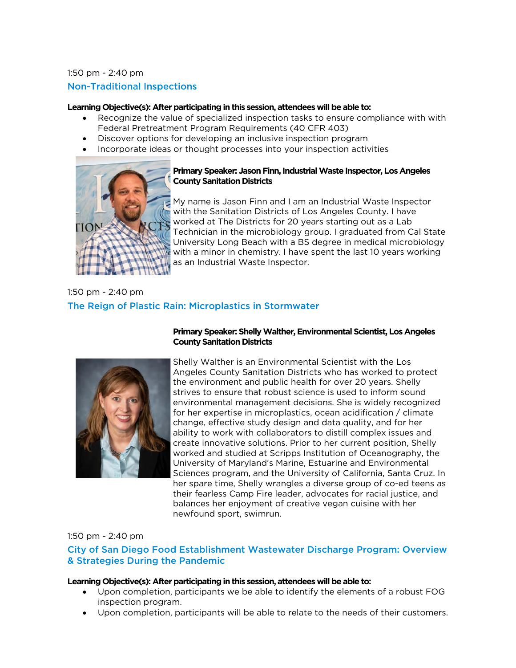## 1:50 pm - 2:40 pm

# Non-Traditional Inspections

## **Learning Objective(s): After participating in this session, attendees will be able to:**

- Recognize the value of specialized inspection tasks to ensure compliance with with Federal Pretreatment Program Requirements (40 CFR 403)
- Discover options for developing an inclusive inspection program
- Incorporate ideas or thought processes into your inspection activities



# **Primary Speaker: Jason Finn, Industrial Waste Inspector, Los Angeles County Sanitation Districts**

My name is Jason Finn and I am an Industrial Waste Inspector with the Sanitation Districts of Los Angeles County. I have worked at The Districts for 20 years starting out as a Lab Technician in the microbiology group. I graduated from Cal State University Long Beach with a BS degree in medical microbiology with a minor in chemistry. I have spent the last 10 years working as an Industrial Waste Inspector.

# 1:50 pm - 2:40 pm The Reign of Plastic Rain: Microplastics in Stormwater



# **Primary Speaker: Shelly Walther, Environmental Scientist, Los Angeles County Sanitation Districts**

Shelly Walther is an Environmental Scientist with the Los Angeles County Sanitation Districts who has worked to protect the environment and public health for over 20 years. Shelly strives to ensure that robust science is used to inform sound environmental management decisions. She is widely recognized for her expertise in microplastics, ocean acidification / climate change, effective study design and data quality, and for her ability to work with collaborators to distill complex issues and create innovative solutions. Prior to her current position, Shelly worked and studied at Scripps Institution of Oceanography, the University of Maryland's Marine, Estuarine and Environmental Sciences program, and the University of California, Santa Cruz. In her spare time, Shelly wrangles a diverse group of co-ed teens as their fearless Camp Fire leader, advocates for racial justice, and balances her enjoyment of creative vegan cuisine with her newfound sport, swimrun.

# 1:50 pm - 2:40 pm

# City of San Diego Food Establishment Wastewater Discharge Program: Overview & Strategies During the Pandemic

- Upon completion, participants we be able to identify the elements of a robust FOG inspection program.
- Upon completion, participants will be able to relate to the needs of their customers.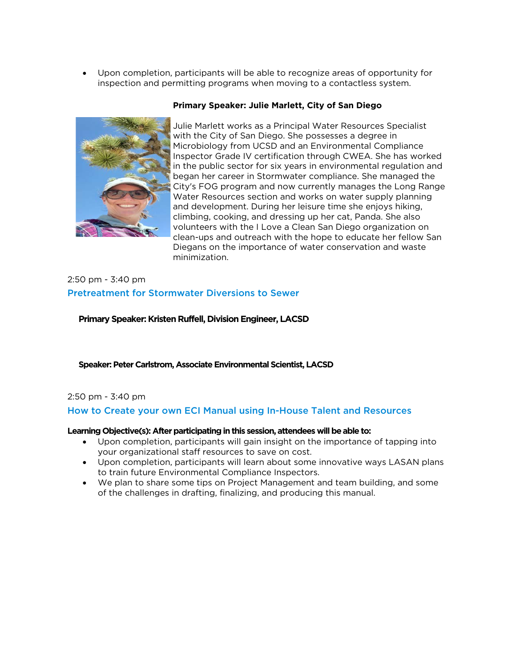• Upon completion, participants will be able to recognize areas of opportunity for inspection and permitting programs when moving to a contactless system.



#### **Primary Speaker: Julie Marlett, City of San Diego**

Julie Marlett works as a Principal Water Resources Specialist with the City of San Diego. She possesses a degree in Microbiology from UCSD and an Environmental Compliance Inspector Grade IV certification through CWEA. She has worked in the public sector for six years in environmental regulation and began her career in Stormwater compliance. She managed the City's FOG program and now currently manages the Long Range Water Resources section and works on water supply planning and development. During her leisure time she enjoys hiking, climbing, cooking, and dressing up her cat, Panda. She also volunteers with the I Love a Clean San Diego organization on clean-ups and outreach with the hope to educate her fellow San Diegans on the importance of water conservation and waste minimization.

# 2:50 pm - 3:40 pm Pretreatment for Stormwater Diversions to Sewer

**Primary Speaker: Kristen Ruffell, Division Engineer, LACSD**

**Speaker: Peter Carlstrom, Associate Environmental Scientist, LACSD**

# 2:50 pm - 3:40 pm

How to Create your own ECI Manual using In-House Talent and Resources

- Upon completion, participants will gain insight on the importance of tapping into your organizational staff resources to save on cost.
- Upon completion, participants will learn about some innovative ways LASAN plans to train future Environmental Compliance Inspectors.
- We plan to share some tips on Project Management and team building, and some of the challenges in drafting, finalizing, and producing this manual.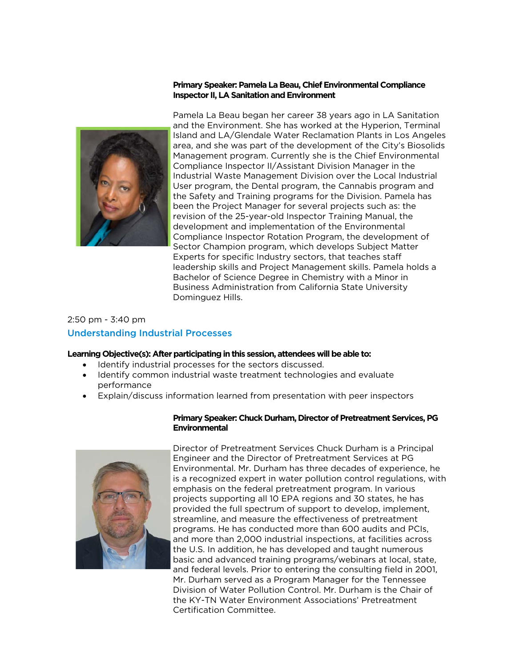## **Primary Speaker: Pamela La Beau, Chief Environmental Compliance Inspector II, LA Sanitation and Environment**



Pamela La Beau began her career 38 years ago in LA Sanitation and the Environment. She has worked at the Hyperion, Terminal Island and LA/Glendale Water Reclamation Plants in Los Angeles area, and she was part of the development of the City's Biosolids Management program. Currently she is the Chief Environmental Compliance Inspector II/Assistant Division Manager in the Industrial Waste Management Division over the Local Industrial User program, the Dental program, the Cannabis program and the Safety and Training programs for the Division. Pamela has been the Project Manager for several projects such as: the revision of the 25-year-old Inspector Training Manual, the development and implementation of the Environmental Compliance Inspector Rotation Program, the development of Sector Champion program, which develops Subject Matter Experts for specific Industry sectors, that teaches staff leadership skills and Project Management skills. Pamela holds a Bachelor of Science Degree in Chemistry with a Minor in Business Administration from California State University Dominguez Hills.

# 2:50 pm - 3:40 pm Understanding Industrial Processes

#### **Learning Objective(s): After participating in this session, attendees will be able to:**

- Identify industrial processes for the sectors discussed.
- Identify common industrial waste treatment technologies and evaluate performance
- Explain/discuss information learned from presentation with peer inspectors



## **Primary Speaker: Chuck Durham, Director of Pretreatment Services, PG Environmental**

Director of Pretreatment Services Chuck Durham is a Principal Engineer and the Director of Pretreatment Services at PG Environmental. Mr. Durham has three decades of experience, he is a recognized expert in water pollution control regulations, with emphasis on the federal pretreatment program. In various projects supporting all 10 EPA regions and 30 states, he has provided the full spectrum of support to develop, implement, streamline, and measure the effectiveness of pretreatment programs. He has conducted more than 600 audits and PCIs, and more than 2,000 industrial inspections, at facilities across the U.S. In addition, he has developed and taught numerous basic and advanced training programs/webinars at local, state, and federal levels. Prior to entering the consulting field in 2001, Mr. Durham served as a Program Manager for the Tennessee Division of Water Pollution Control. Mr. Durham is the Chair of the KY-TN Water Environment Associations' Pretreatment Certification Committee.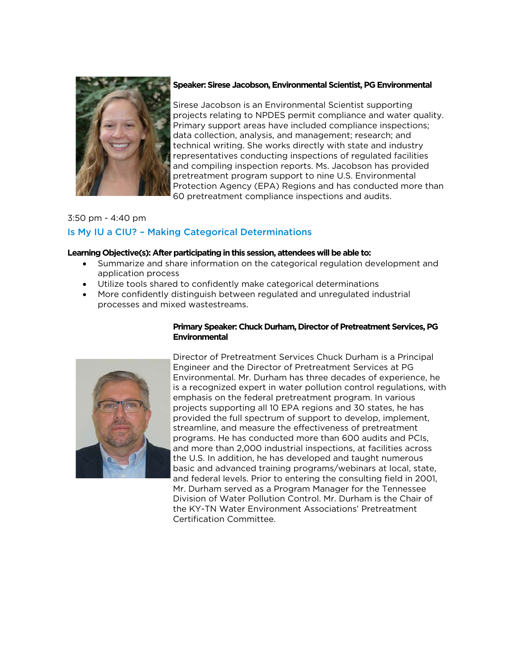

#### **Speaker: Sirese Jacobson, Environmental Scientist, PG Environmental**

Sirese Jacobson is an Environmental Scientist supporting projects relating to NPDES permit compliance and water quality. Primary support areas have included compliance inspections; data collection, analysis, and management; research; and technical writing. She works directly with state and industry representatives conducting inspections of regulated facilities and compiling inspection reports. Ms. Jacobson has provided pretreatment program support to nine U.S. Environmental Protection Agency (EPA) Regions and has conducted more than 60 pretreatment compliance inspections and audits.

# 3:50 pm - 4:40 pm Is My IU a CIU? – Making Categorical Determinations

# **Learning Objective(s): After participating in this session, attendees will be able to:**

- Summarize and share information on the categorical regulation development and application process
- Utilize tools shared to confidently make categorical determinations
- More confidently distinguish between regulated and unregulated industrial processes and mixed wastestreams.



# **Primary Speaker: Chuck Durham, Director of Pretreatment Services, PG Environmental**

Director of Pretreatment Services Chuck Durham is a Principal Engineer and the Director of Pretreatment Services at PG Environmental. Mr. Durham has three decades of experience, he is a recognized expert in water pollution control regulations, with emphasis on the federal pretreatment program. In various projects supporting all 10 EPA regions and 30 states, he has provided the full spectrum of support to develop, implement, streamline, and measure the effectiveness of pretreatment programs. He has conducted more than 600 audits and PCIs, and more than 2,000 industrial inspections, at facilities across the U.S. In addition, he has developed and taught numerous basic and advanced training programs/webinars at local, state, and federal levels. Prior to entering the consulting field in 2001, Mr. Durham served as a Program Manager for the Tennessee Division of Water Pollution Control. Mr. Durham is the Chair of the KY-TN Water Environment Associations' Pretreatment Certification Committee.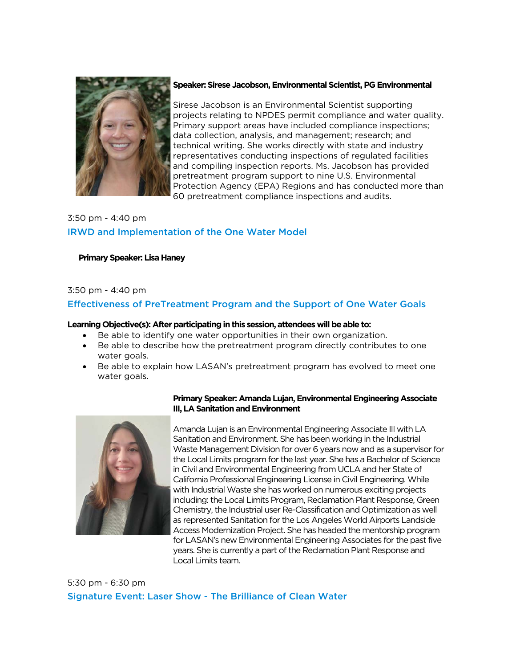

#### Speaker: Sirese Jacobson, Environmental Scientist, PG Environmental

Sirese Jacobson is an Environmental Scientist supporting projects relating to NPDES permit compliance and water quality. Primary support areas have included compliance inspections; data collection, analysis, and management; research; and technical writing. She works directly with state and industry representatives conducting inspections of regulated facilities and compiling inspection reports. Ms. Jacobson has provided pretreatment program support to nine U.S. Environmental Protection Agency (EPA) Regions and has conducted more than 60 pretreatment compliance inspections and audits.

# 3:50 pm - 4:40 pm IRWD and Implementation of the One Water Model

# **Primary Speaker: Lisa Haney**

# 3:50 pm - 4:40 pm

# Effectiveness of PreTreatment Program and the Support of One Water Goals

## **Learning Objective(s): After participating in this session, attendees will be able to:**

- Be able to identify one water opportunities in their own organization.
- Be able to describe how the pretreatment program directly contributes to one water goals.
- Be able to explain how LASAN's pretreatment program has evolved to meet one water goals.



# **Primary Speaker: Amanda Lujan, Environmental Engineering Associate III, LA Sanitation and Environment**

Amanda Lujan is an Environmental Engineering Associate III with LA Sanitation and Environment. She has been working in the Industrial Waste Management Division for over 6 years now and as a supervisor for the Local Limits program for the last year. She has a Bachelor of Science in Civil and Environmental Engineering from UCLA and her State of California Professional Engineering License in Civil Engineering. While with Industrial Waste she has worked on numerous exciting projects including: the Local Limits Program, Reclamation Plant Response, Green Chemistry, the Industrial user Re-Classification and Optimization as well as represented Sanitation for the Los Angeles World Airports Landside Access Modernization Project. She has headed the mentorship program for LASAN's new Environmental Engineering Associates for the past five years. She is currently a part of the Reclamation Plant Response and Local Limits team.

5:30 pm - 6:30 pm Signature Event: Laser Show - The Brilliance of Clean Water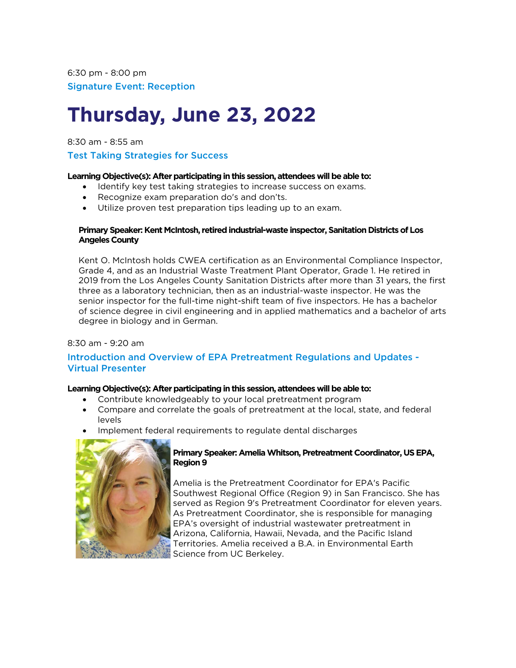# **Thursday, June 23, 2022**

8:30 am - 8:55 am

# Test Taking Strategies for Success

# **Learning Objective(s): After participating in this session, attendees will be able to:**

- Identify key test taking strategies to increase success on exams.
- Recognize exam preparation do's and don'ts.
- Utilize proven test preparation tips leading up to an exam.

## **Primary Speaker: Kent McIntosh, retired industrial-waste inspector, Sanitation Districts of Los Angeles County**

Kent O. McIntosh holds CWEA certification as an Environmental Compliance Inspector, Grade 4, and as an Industrial Waste Treatment Plant Operator, Grade 1. He retired in 2019 from the Los Angeles County Sanitation Districts after more than 31 years, the first three as a laboratory technician, then as an industrial-waste inspector. He was the senior inspector for the full-time night-shift team of five inspectors. He has a bachelor of science degree in civil engineering and in applied mathematics and a bachelor of arts degree in biology and in German.

# 8:30 am - 9:20 am

# Introduction and Overview of EPA Pretreatment Regulations and Updates - Virtual Presenter

# **Learning Objective(s): After participating in this session, attendees will be able to:**

- Contribute knowledgeably to your local pretreatment program
- Compare and correlate the goals of pretreatment at the local, state, and federal levels
- Implement federal requirements to regulate dental discharges



# **Primary Speaker: Amelia Whitson, Pretreatment Coordinator, US EPA, Region 9**

Amelia is the Pretreatment Coordinator for EPA's Pacific Southwest Regional Office (Region 9) in San Francisco. She has served as Region 9's Pretreatment Coordinator for eleven years. As Pretreatment Coordinator, she is responsible for managing EPA's oversight of industrial wastewater pretreatment in Arizona, California, Hawaii, Nevada, and the Pacific Island Territories. Amelia received a B.A. in Environmental Earth Science from UC Berkeley.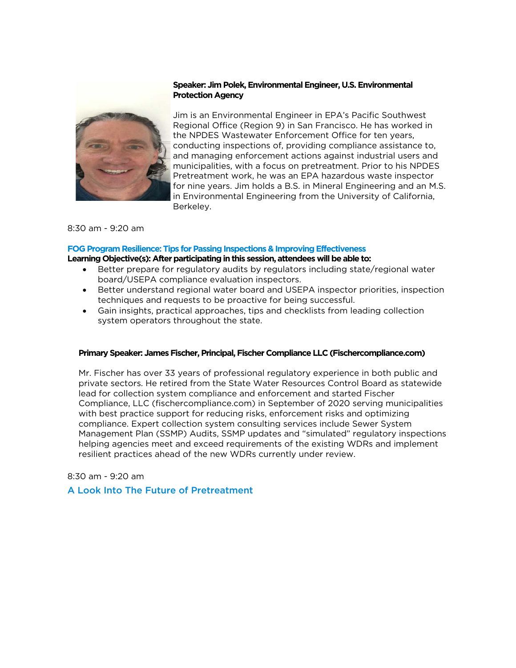## **Speaker: Jim Polek, Environmental Engineer, U.S. Environmental Protection Agency**



Jim is an Environmental Engineer in EPA's Pacific Southwest Regional Office (Region 9) in San Francisco. He has worked in the NPDES Wastewater Enforcement Office for ten years, conducting inspections of, providing compliance assistance to, and managing enforcement actions against industrial users and municipalities, with a focus on pretreatment. Prior to his NPDES Pretreatment work, he was an EPA hazardous waste inspector for nine years. Jim holds a B.S. in Mineral Engineering and an M.S. in Environmental Engineering from the University of California, Berkeley.

#### 8:30 am - 9:20 am

#### **FOG Program Resilience: Tips for Passing Inspections & Improving Effectiveness**

#### **Learning Objective(s): After participating in this session, attendees will be able to:**

- Better prepare for regulatory audits by regulators including state/regional water board/USEPA compliance evaluation inspectors.
- Better understand regional water board and USEPA inspector priorities, inspection techniques and requests to be proactive for being successful.
- Gain insights, practical approaches, tips and checklists from leading collection system operators throughout the state.

#### **Primary Speaker: James Fischer, Principal, Fischer Compliance LLC (Fischercompliance.com)**

Mr. Fischer has over 33 years of professional regulatory experience in both public and private sectors. He retired from the State Water Resources Control Board as statewide lead for collection system compliance and enforcement and started Fischer Compliance, LLC (fischercompliance.com) in September of 2020 serving municipalities with best practice support for reducing risks, enforcement risks and optimizing compliance. Expert collection system consulting services include Sewer System Management Plan (SSMP) Audits, SSMP updates and "simulated" regulatory inspections helping agencies meet and exceed requirements of the existing WDRs and implement resilient practices ahead of the new WDRs currently under review.

#### 8:30 am - 9:20 am

#### A Look Into The Future of Pretreatment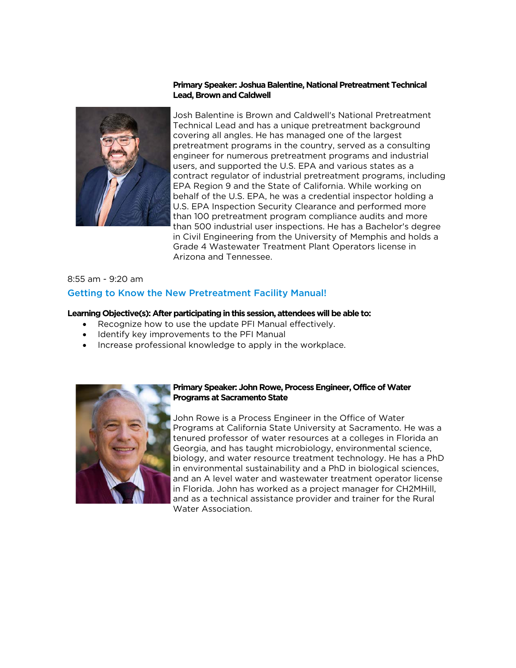#### **Primary Speaker: Joshua Balentine, National Pretreatment Technical Lead, Brown and Caldwell**



Josh Balentine is Brown and Caldwell's National Pretreatment Technical Lead and has a unique pretreatment background covering all angles. He has managed one of the largest pretreatment programs in the country, served as a consulting engineer for numerous pretreatment programs and industrial users, and supported the U.S. EPA and various states as a contract regulator of industrial pretreatment programs, including EPA Region 9 and the State of California. While working on behalf of the U.S. EPA, he was a credential inspector holding a U.S. EPA Inspection Security Clearance and performed more than 100 pretreatment program compliance audits and more than 500 industrial user inspections. He has a Bachelor's degree in Civil Engineering from the University of Memphis and holds a Grade 4 Wastewater Treatment Plant Operators license in Arizona and Tennessee.

# 8:55 am - 9:20 am Getting to Know the New Pretreatment Facility Manual!

#### **Learning Objective(s): After participating in this session, attendees will be able to:**

- Recognize how to use the update PFI Manual effectively.
- Identify key improvements to the PFI Manual
- Increase professional knowledge to apply in the workplace.



#### **Primary Speaker: John Rowe, Process Engineer, Office of Water Programs at Sacramento State**

John Rowe is a Process Engineer in the Office of Water Programs at California State University at Sacramento. He was a tenured professor of water resources at a colleges in Florida an Georgia, and has taught microbiology, environmental science, biology, and water resource treatment technology. He has a PhD in environmental sustainability and a PhD in biological sciences, and an A level water and wastewater treatment operator license in Florida. John has worked as a project manager for CH2MHill, and as a technical assistance provider and trainer for the Rural Water Association.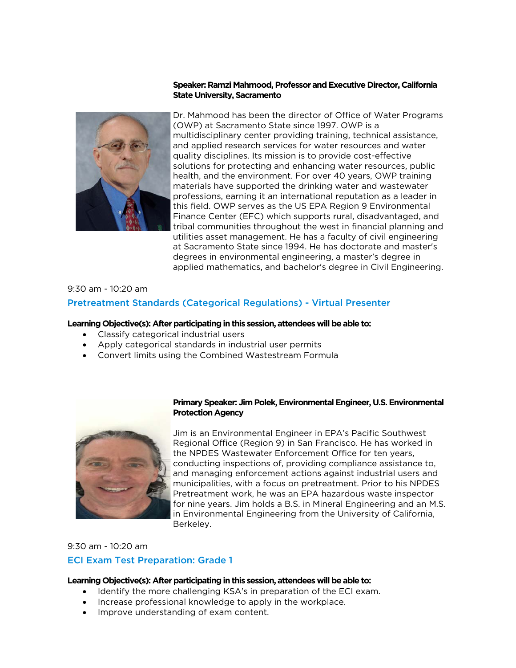#### **Speaker: Ramzi Mahmood, Professor and Executive Director, California State University, Sacramento**



Dr. Mahmood has been the director of Office of Water Programs (OWP) at Sacramento State since 1997. OWP is a multidisciplinary center providing training, technical assistance, and applied research services for water resources and water quality disciplines. Its mission is to provide cost-effective solutions for protecting and enhancing water resources, public health, and the environment. For over 40 years, OWP training materials have supported the drinking water and wastewater professions, earning it an international reputation as a leader in this field. OWP serves as the US EPA Region 9 Environmental Finance Center (EFC) which supports rural, disadvantaged, and tribal communities throughout the west in financial planning and utilities asset management. He has a faculty of civil engineering at Sacramento State since 1994. He has doctorate and master's degrees in environmental engineering, a master's degree in applied mathematics, and bachelor's degree in Civil Engineering.

## 9:30 am - 10:20 am

## Pretreatment Standards (Categorical Regulations) - Virtual Presenter

#### **Learning Objective(s): After participating in this session, attendees will be able to:**

- Classify categorical industrial users
- Apply categorical standards in industrial user permits
- Convert limits using the Combined Wastestream Formula



#### **Primary Speaker: Jim Polek, Environmental Engineer, U.S. Environmental Protection Agency**

Jim is an Environmental Engineer in EPA's Pacific Southwest Regional Office (Region 9) in San Francisco. He has worked in the NPDES Wastewater Enforcement Office for ten years, conducting inspections of, providing compliance assistance to, and managing enforcement actions against industrial users and municipalities, with a focus on pretreatment. Prior to his NPDES Pretreatment work, he was an EPA hazardous waste inspector for nine years. Jim holds a B.S. in Mineral Engineering and an M.S. in Environmental Engineering from the University of California, Berkeley.

9:30 am - 10:20 am

#### ECI Exam Test Preparation: Grade 1

- Identify the more challenging KSA's in preparation of the ECI exam.
- Increase professional knowledge to apply in the workplace.
- Improve understanding of exam content.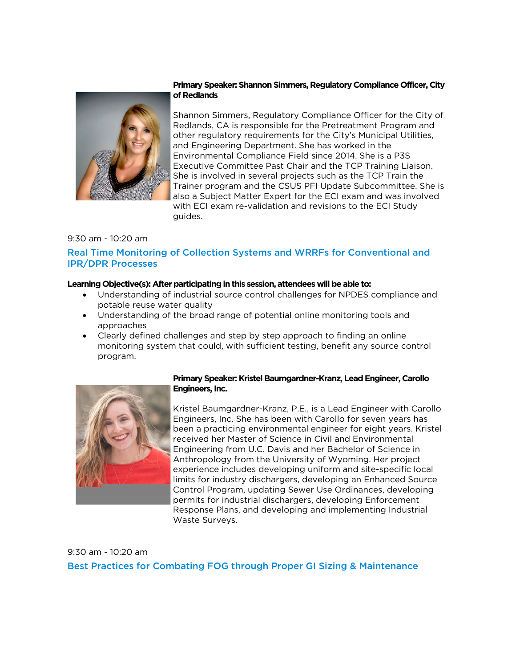

# **Primary Speaker: Shannon Simmers, Regulatory Compliance Officer, City of Redlands**

Shannon Simmers, Regulatory Compliance Officer for the City of Redlands, CA is responsible for the Pretreatment Program and other regulatory requirements for the City's Municipal Utilities, and Engineering Department. She has worked in the Environmental Compliance Field since 2014. She is a P3S Executive Committee Past Chair and the TCP Training Liaison. She is involved in several projects such as the TCP Train the Trainer program and the CSUS PFI Update Subcommittee. She is also a Subject Matter Expert for the ECI exam and was involved with ECI exam re-validation and revisions to the ECI Study guides.

# 9:30 am - 10:20 am

# Real Time Monitoring of Collection Systems and WRRFs for Conventional and IPR/DPR Processes

## **Learning Objective(s): After participating in this session, attendees will be able to:**

- Understanding of industrial source control challenges for NPDES compliance and potable reuse water quality
- Understanding of the broad range of potential online monitoring tools and approaches
- Clearly defined challenges and step by step approach to finding an online monitoring system that could, with sufficient testing, benefit any source control program.



#### **Primary Speaker: Kristel Baumgardner-Kranz, Lead Engineer, Carollo Engineers, Inc.**

Kristel Baumgardner-Kranz, P.E., is a Lead Engineer with Carollo Engineers, Inc. She has been with Carollo for seven years has been a practicing environmental engineer for eight years. Kristel received her Master of Science in Civil and Environmental Engineering from U.C. Davis and her Bachelor of Science in Anthropology from the University of Wyoming. Her project experience includes developing uniform and site-specific local limits for industry dischargers, developing an Enhanced Source Control Program, updating Sewer Use Ordinances, developing permits for industrial dischargers, developing Enforcement Response Plans, and developing and implementing Industrial Waste Surveys.

9:30 am - 10:20 am Best Practices for Combating FOG through Proper GI Sizing & Maintenance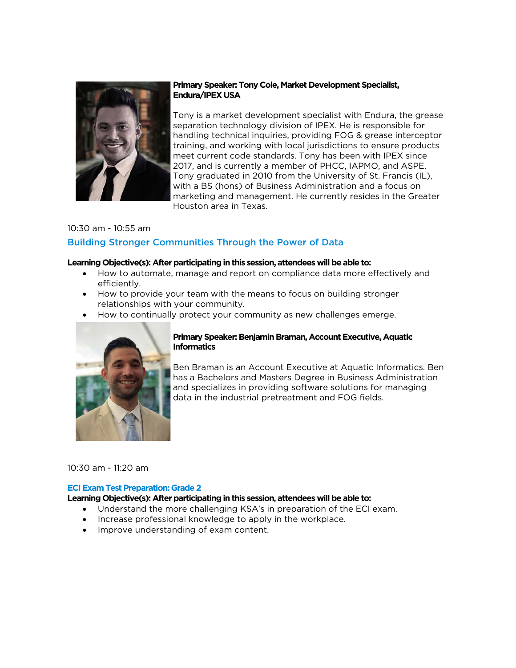

# **Primary Speaker: Tony Cole, Market Development Specialist, Endura/IPEX USA**

Tony is a market development specialist with Endura, the grease separation technology division of IPEX. He is responsible for handling technical inquiries, providing FOG & grease interceptor training, and working with local jurisdictions to ensure products meet current code standards. Tony has been with IPEX since 2017, and is currently a member of PHCC, IAPMO, and ASPE. Tony graduated in 2010 from the University of St. Francis (IL), with a BS (hons) of Business Administration and a focus on marketing and management. He currently resides in the Greater Houston area in Texas.

# 10:30 am - 10:55 am Building Stronger Communities Through the Power of Data

## **Learning Objective(s): After participating in this session, attendees will be able to:**

- How to automate, manage and report on compliance data more effectively and efficiently.
- How to provide your team with the means to focus on building stronger relationships with your community.
- How to continually protect your community as new challenges emerge.



# **Primary Speaker: Benjamin Braman, Account Executive, Aquatic Informatics**

Ben Braman is an Account Executive at Aquatic Informatics. Ben has a Bachelors and Masters Degree in Business Administration and specializes in providing software solutions for managing data in the industrial pretreatment and FOG fields.

# 10:30 am - 11:20 am

#### **ECI Exam Test Preparation: Grade 2**

- Understand the more challenging KSA's in preparation of the ECI exam.
- Increase professional knowledge to apply in the workplace.
- Improve understanding of exam content.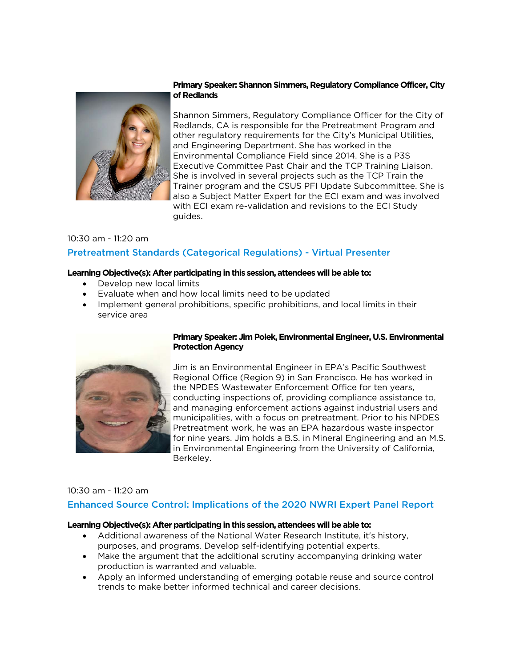

# **Primary Speaker: Shannon Simmers, Regulatory Compliance Officer, City of Redlands**

Shannon Simmers, Regulatory Compliance Officer for the City of Redlands, CA is responsible for the Pretreatment Program and other regulatory requirements for the City's Municipal Utilities, and Engineering Department. She has worked in the Environmental Compliance Field since 2014. She is a P3S Executive Committee Past Chair and the TCP Training Liaison. She is involved in several projects such as the TCP Train the Trainer program and the CSUS PFI Update Subcommittee. She is also a Subject Matter Expert for the ECI exam and was involved with ECI exam re-validation and revisions to the ECI Study guides.

# 10:30 am - 11:20 am Pretreatment Standards (Categorical Regulations) - Virtual Presenter

## **Learning Objective(s): After participating in this session, attendees will be able to:**

- Develop new local limits
- Evaluate when and how local limits need to be updated
- Implement general prohibitions, specific prohibitions, and local limits in their service area



# **Primary Speaker: Jim Polek, Environmental Engineer, U.S. Environmental Protection Agency**

Jim is an Environmental Engineer in EPA's Pacific Southwest Regional Office (Region 9) in San Francisco. He has worked in the NPDES Wastewater Enforcement Office for ten years, conducting inspections of, providing compliance assistance to, and managing enforcement actions against industrial users and municipalities, with a focus on pretreatment. Prior to his NPDES Pretreatment work, he was an EPA hazardous waste inspector for nine years. Jim holds a B.S. in Mineral Engineering and an M.S. in Environmental Engineering from the University of California, Berkeley.

# 10:30 am - 11:20 am

# Enhanced Source Control: Implications of the 2020 NWRI Expert Panel Report

- Additional awareness of the National Water Research Institute, it's history, purposes, and programs. Develop self-identifying potential experts.
- Make the argument that the additional scrutiny accompanying drinking water production is warranted and valuable.
- Apply an informed understanding of emerging potable reuse and source control trends to make better informed technical and career decisions.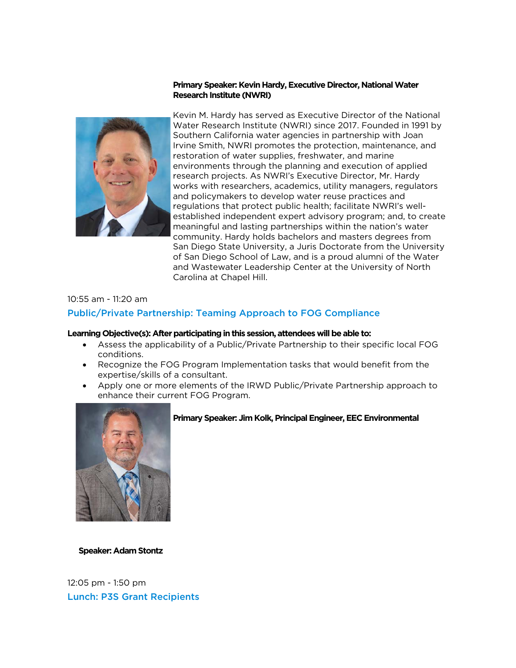## **Primary Speaker: Kevin Hardy, Executive Director, National Water Research Institute (NWRI)**



Kevin M. Hardy has served as Executive Director of the National Water Research Institute (NWRI) since 2017. Founded in 1991 by Southern California water agencies in partnership with Joan Irvine Smith, NWRI promotes the protection, maintenance, and restoration of water supplies, freshwater, and marine environments through the planning and execution of applied research projects. As NWRI's Executive Director, Mr. Hardy works with researchers, academics, utility managers, regulators and policymakers to develop water reuse practices and regulations that protect public health; facilitate NWRI's wellestablished independent expert advisory program; and, to create meaningful and lasting partnerships within the nation's water community. Hardy holds bachelors and masters degrees from San Diego State University, a Juris Doctorate from the University of San Diego School of Law, and is a proud alumni of the Water and Wastewater Leadership Center at the University of North Carolina at Chapel Hill.

# 10:55 am - 11:20 am Public/Private Partnership: Teaming Approach to FOG Compliance

#### **Learning Objective(s): After participating in this session, attendees will be able to:**

- Assess the applicability of a Public/Private Partnership to their specific local FOG conditions.
- Recognize the FOG Program Implementation tasks that would benefit from the expertise/skills of a consultant.
- Apply one or more elements of the IRWD Public/Private Partnership approach to enhance their current FOG Program.



# **Primary Speaker: Jim Kolk, Principal Engineer, EEC Environmental**

#### **Speaker: Adam Stontz**

12:05 pm - 1:50 pm Lunch: P3S Grant Recipients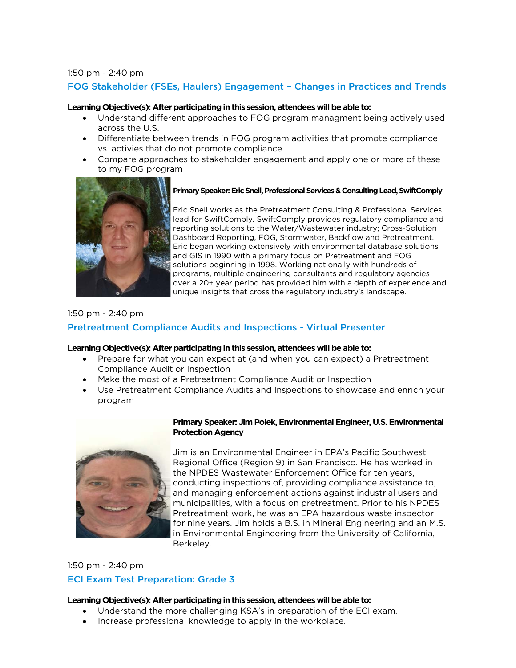#### 1:50 pm - 2:40 pm

# FOG Stakeholder (FSEs, Haulers) Engagement – Changes in Practices and Trends

#### **Learning Objective(s): After participating in this session, attendees will be able to:**

- Understand different approaches to FOG program managment being actively used across the U.S.
- Differentiate between trends in FOG program activities that promote compliance vs. activies that do not promote compliance
- Compare approaches to stakeholder engagement and apply one or more of these to my FOG program



#### **Primary Speaker: Eric Snell, Professional Services & Consulting Lead, SwiftComply**

Eric Snell works as the Pretreatment Consulting & Professional Services lead for SwiftComply. SwiftComply provides regulatory compliance and reporting solutions to the Water/Wastewater industry; Cross-Solution Dashboard Reporting, FOG, Stormwater, Backflow and Pretreatment. Eric began working extensively with environmental database solutions and GIS in 1990 with a primary focus on Pretreatment and FOG solutions beginning in 1998. Working nationally with hundreds of programs, multiple engineering consultants and regulatory agencies over a 20+ year period has provided him with a depth of experience and unique insights that cross the regulatory industry's landscape.

#### 1:50 pm - 2:40 pm

# Pretreatment Compliance Audits and Inspections - Virtual Presenter

#### **Learning Objective(s): After participating in this session, attendees will be able to:**

- Prepare for what you can expect at (and when you can expect) a Pretreatment Compliance Audit or Inspection
- Make the most of a Pretreatment Compliance Audit or Inspection
- Use Pretreatment Compliance Audits and Inspections to showcase and enrich your program



#### **Primary Speaker: Jim Polek, Environmental Engineer, U.S. Environmental Protection Agency**

Jim is an Environmental Engineer in EPA's Pacific Southwest Regional Office (Region 9) in San Francisco. He has worked in the NPDES Wastewater Enforcement Office for ten years, conducting inspections of, providing compliance assistance to, and managing enforcement actions against industrial users and municipalities, with a focus on pretreatment. Prior to his NPDES Pretreatment work, he was an EPA hazardous waste inspector for nine years. Jim holds a B.S. in Mineral Engineering and an M.S. in Environmental Engineering from the University of California, Berkeley.

# 1:50 pm - 2:40 pm ECI Exam Test Preparation: Grade 3

- Understand the more challenging KSA's in preparation of the ECI exam.
- Increase professional knowledge to apply in the workplace.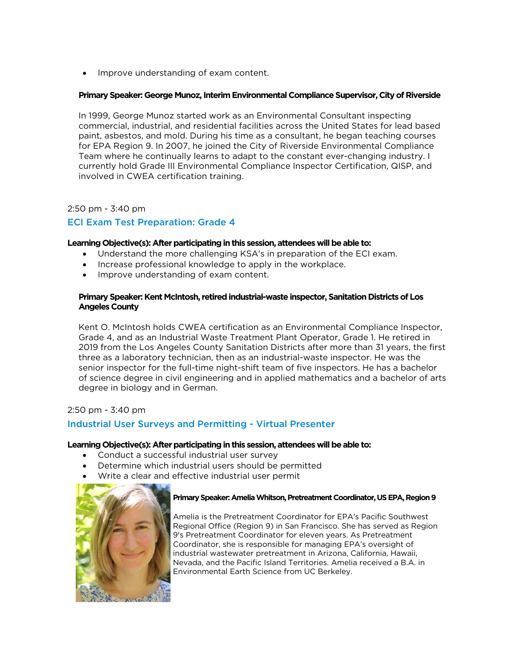Improve understanding of exam content.

## **Primary Speaker: George Munoz, Interim Environmental Compliance Supervisor, City of Riverside**

In 1999, George Munoz started work as an Environmental Consultant inspecting commercial, industrial, and residential facilities across the United States for lead based paint, asbestos, and mold. During his time as a consultant, he began teaching courses for EPA Region 9. In 2007, he joined the City of Riverside Environmental Compliance Team where he continually learns to adapt to the constant ever-changing industry. I currently hold Grade III Environmental Compliance Inspector Certification, QISP, and involved in CWEA certification training.

# 2:50 pm - 3:40 pm

# ECI Exam Test Preparation: Grade 4

#### **Learning Objective(s): After participating in this session, attendees will be able to:**

- Understand the more challenging KSA's in preparation of the ECI exam.
- Increase professional knowledge to apply in the workplace.
- Improve understanding of exam content.

## **Primary Speaker: Kent McIntosh, retired industrial-waste inspector, Sanitation Districts of Los Angeles County**

Kent O. McIntosh holds CWEA certification as an Environmental Compliance Inspector, Grade 4, and as an Industrial Waste Treatment Plant Operator, Grade 1. He retired in 2019 from the Los Angeles County Sanitation Districts after more than 31 years, the first three as a laboratory technician, then as an industrial-waste inspector. He was the senior inspector for the full-time night-shift team of five inspectors. He has a bachelor of science degree in civil engineering and in applied mathematics and a bachelor of arts degree in biology and in German.

2:50 pm - 3:40 pm

# Industrial User Surveys and Permitting - Virtual Presenter

#### **Learning Objective(s): After participating in this session, attendees will be able to:**

- Conduct a successful industrial user survey
- Determine which industrial users should be permitted
- Write a clear and effective industrial user permit



#### **Primary Speaker: Amelia Whitson, Pretreatment Coordinator, US EPA, Region 9**

Amelia is the Pretreatment Coordinator for EPA's Pacific Southwest Regional Office (Region 9) in San Francisco. She has served as Region 9's Pretreatment Coordinator for eleven years. As Pretreatment Coordinator, she is responsible for managing EPA's oversight of industrial wastewater pretreatment in Arizona, California, Hawaii, Nevada, and the Pacific Island Territories. Amelia received a B.A. in Environmental Earth Science from UC Berkeley.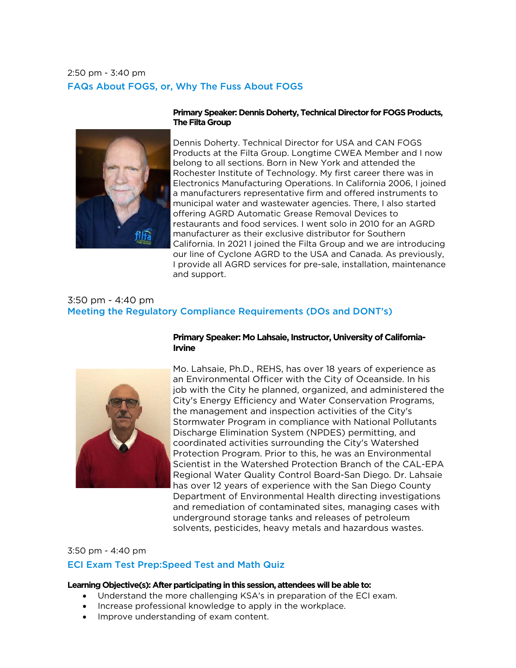# 2:50 pm - 3:40 pm FAQs About FOGS, or, Why The Fuss About FOGS



#### **Primary Speaker: Dennis Doherty, Technical Director for FOGS Products, The Filta Group**

Dennis Doherty. Technical Director for USA and CAN FOGS Products at the Filta Group. Longtime CWEA Member and I now belong to all sections. Born in New York and attended the Rochester Institute of Technology. My first career there was in Electronics Manufacturing Operations. In California 2006, I joined a manufacturers representative firm and offered instruments to municipal water and wastewater agencies. There, I also started offering AGRD Automatic Grease Removal Devices to restaurants and food services. I went solo in 2010 for an AGRD manufacturer as their exclusive distributor for Southern California. In 2021 I joined the Filta Group and we are introducing our line of Cyclone AGRD to the USA and Canada. As previously, I provide all AGRD services for pre-sale, installation, maintenance and support.

# 3:50 pm - 4:40 pm Meeting the Regulatory Compliance Requirements (DOs and DONT's)



# **Primary Speaker: Mo Lahsaie, Instructor, University of California-Irvine**

Mo. Lahsaie, Ph.D., REHS, has over 18 years of experience as an Environmental Officer with the City of Oceanside. In his job with the City he planned, organized, and administered the City's Energy Efficiency and Water Conservation Programs, the management and inspection activities of the City's Stormwater Program in compliance with National Pollutants Discharge Elimination System (NPDES) permitting, and coordinated activities surrounding the City's Watershed Protection Program. Prior to this, he was an Environmental Scientist in the Watershed Protection Branch of the CAL-EPA Regional Water Quality Control Board-San Diego. Dr. Lahsaie has over 12 years of experience with the San Diego County Department of Environmental Health directing investigations and remediation of contaminated sites, managing cases with underground storage tanks and releases of petroleum solvents, pesticides, heavy metals and hazardous wastes.

3:50 pm - 4:40 pm

# ECI Exam Test Prep:Speed Test and Math Quiz

- Understand the more challenging KSA's in preparation of the ECI exam.
- Increase professional knowledge to apply in the workplace.
- Improve understanding of exam content.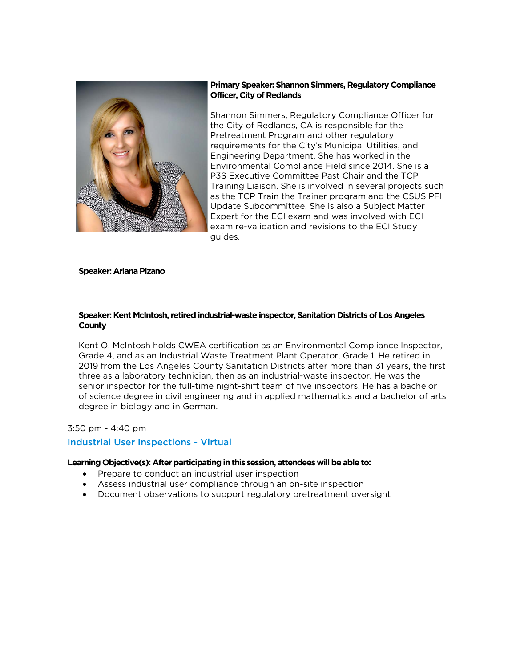

#### **Primary Speaker: Shannon Simmers, Regulatory Compliance Officer, City of Redlands**

Shannon Simmers, Regulatory Compliance Officer for the City of Redlands, CA is responsible for the Pretreatment Program and other regulatory requirements for the City's Municipal Utilities, and Engineering Department. She has worked in the Environmental Compliance Field since 2014. She is a P3S Executive Committee Past Chair and the TCP Training Liaison. She is involved in several projects such as the TCP Train the Trainer program and the CSUS PFI Update Subcommittee. She is also a Subject Matter Expert for the ECI exam and was involved with ECI exam re-validation and revisions to the ECI Study guides.

#### **Speaker: Ariana Pizano**

## **Speaker: Kent McIntosh, retired industrial-waste inspector, Sanitation Districts of Los Angeles County**

Kent O. McIntosh holds CWEA certification as an Environmental Compliance Inspector, Grade 4, and as an Industrial Waste Treatment Plant Operator, Grade 1. He retired in 2019 from the Los Angeles County Sanitation Districts after more than 31 years, the first three as a laboratory technician, then as an industrial-waste inspector. He was the senior inspector for the full-time night-shift team of five inspectors. He has a bachelor of science degree in civil engineering and in applied mathematics and a bachelor of arts degree in biology and in German.

#### 3:50 pm - 4:40 pm

#### Industrial User Inspections - Virtual

- Prepare to conduct an industrial user inspection
- Assess industrial user compliance through an on-site inspection
- Document observations to support regulatory pretreatment oversight